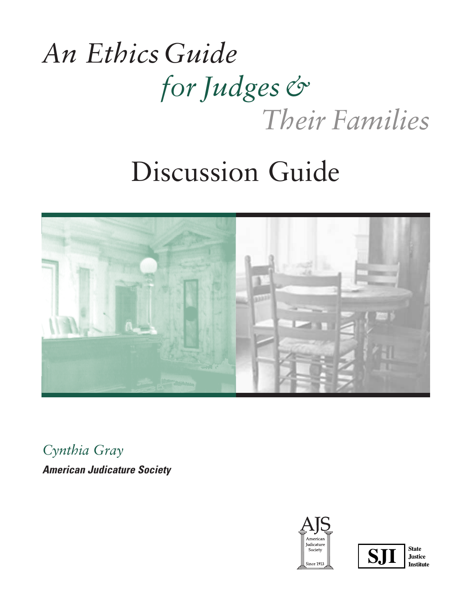# *An EthicsGuide for Judges& Their Families*

# Discussion Guide



*Cynthia Gray*

*American Judicature Society*





**Justice Institute**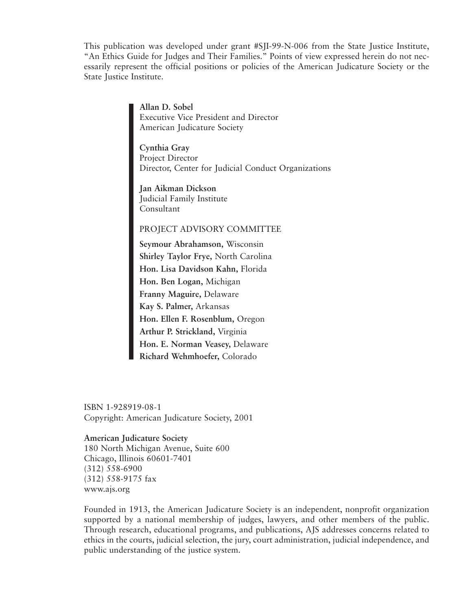This publication was developed under grant #SJI-99-N-006 from the State Justice Institute, "An Ethics Guide for Judges and Their Families." Points of view expressed herein do not necessarily represent the official positions or policies of the American Judicature Society or the State Justice Institute.

> **Allan D. Sobel** Executive Vice President and Director American Judicature Society

**Cynthia Gray** Project Director Director, Center for Judicial Conduct Organizations

**Jan Aikman Dickson** Judicial Family Institute Consultant

#### PROJECT ADVISORY COMMITTEE

**Seymour Abrahamson,** Wisconsin **Shirley Taylor Frye,** North Carolina **Hon. Lisa Davidson Kahn,** Florida **Hon. Ben Logan,** Michigan **Franny Maguire,** Delaware **Kay S. Palmer,** Arkansas **Hon. Ellen F. Rosenblum,** Oregon **Arthur P. Strickland,** Virginia **Hon. E. Norman Veasey,** Delaware **Richard Wehmhoefer,** Colorado

ISBN 1-928919-08-1 Copyright: American Judicature Society, 2001

#### **American Judicature Society**

180 North Michigan Avenue, Suite 600 Chicago, Illinois 60601-7401 (312) 558-6900 (312) 558-9175 fax www.ajs.org

Founded in 1913, the American Judicature Society is an independent, nonprofit organization supported by a national membership of judges, lawyers, and other members of the public. Through research, educational programs, and publications, AJS addresses concerns related to ethics in the courts, judicial selection, the jury, court administration, judicial independence, and public understanding of the justice system.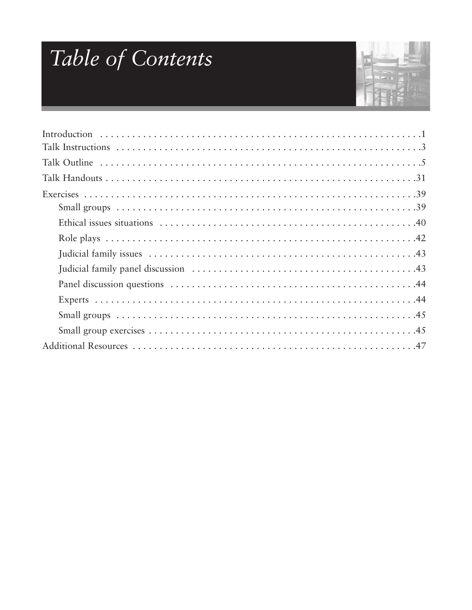# Table of Contents

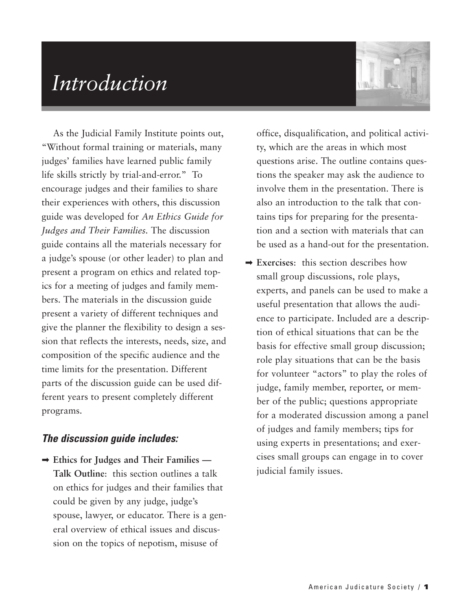### *Introduction*



As the Judicial Family Institute points out, "Without formal training or materials, many judges' families have learned public family life skills strictly by trial-and-error." To encourage judges and their families to share their experiences with others, this discussion guide was developed for *An Ethics Guide for Judges and Their Families.* The discussion guide contains all the materials necessary for a judge's spouse (or other leader) to plan and present a program on ethics and related topics for a meeting of judges and family members. The materials in the discussion guide present a variety of different techniques and give the planner the flexibility to design a session that reflects the interests, needs, size, and composition of the specific audience and the time limits for the presentation. Different parts of the discussion guide can be used different years to present completely different programs.

#### *The discussion guide includes:*

➡ **Ethics for Judges and Their Families — Talk Outline**: this section outlines a talk on ethics for judges and their families that could be given by any judge, judge's spouse, lawyer, or educator. There is a general overview of ethical issues and discussion on the topics of nepotism, misuse of

office, disqualification, and political activity, which are the areas in which most questions arise. The outline contains questions the speaker may ask the audience to involve them in the presentation. There is also an introduction to the talk that contains tips for preparing for the presentation and a section with materials that can be used as a hand-out for the presentation.

➡ **Exercises**: this section describes how small group discussions, role plays, experts, and panels can be used to make a useful presentation that allows the audience to participate. Included are a description of ethical situations that can be the basis for effective small group discussion; role play situations that can be the basis for volunteer "actors" to play the roles of judge, family member, reporter, or member of the public; questions appropriate for a moderated discussion among a panel of judges and family members; tips for using experts in presentations; and exercises small groups can engage in to cover judicial family issues.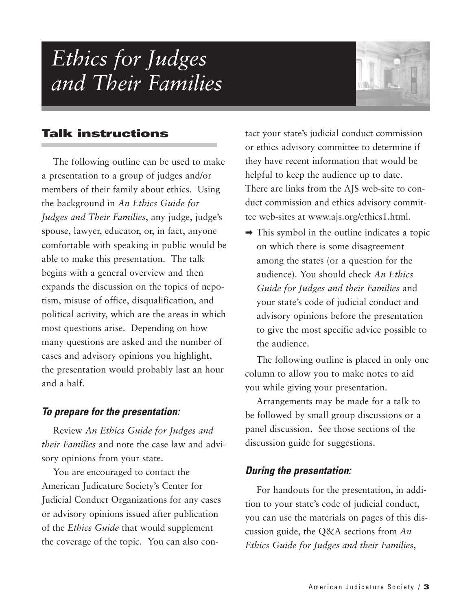### *Ethics for Judges and Their Families*



#### **Talk instructions**

The following outline can be used to make a presentation to a group of judges and/or members of their family about ethics. Using the background in *An Ethics Guide for Judges and Their Families*, any judge, judge's spouse, lawyer, educator, or, in fact, anyone comfortable with speaking in public would be able to make this presentation. The talk begins with a general overview and then expands the discussion on the topics of nepotism, misuse of office, disqualification, and political activity, which are the areas in which most questions arise. Depending on how many questions are asked and the number of cases and advisory opinions you highlight, the presentation would probably last an hour and a half.

#### *To prepare for the presentation:*

Review *An Ethics Guide for Judges and their Families* and note the case law and advisory opinions from your state.

You are encouraged to contact the American Judicature Society's Center for Judicial Conduct Organizations for any cases or advisory opinions issued after publication of the *Ethics Guide* that would supplement the coverage of the topic. You can also contact your state's judicial conduct commission or ethics advisory committee to determine if they have recent information that would be helpful to keep the audience up to date. There are links from the AJS web-site to conduct commission and ethics advisory committee web-sites at www.ajs.org/ethics1.html.

 $\rightarrow$  This symbol in the outline indicates a topic on which there is some disagreement among the states (or a question for the audience). You should check *An Ethics Guide for Judges and their Families* and your state's code of judicial conduct and advisory opinions before the presentation to give the most specific advice possible to the audience.

The following outline is placed in only one column to allow you to make notes to aid you while giving your presentation.

Arrangements may be made for a talk to be followed by small group discussions or a panel discussion. See those sections of the discussion guide for suggestions.

#### *During the presentation:*

For handouts for the presentation, in addition to your state's code of judicial conduct, you can use the materials on pages of this discussion guide, the Q&A sections from *An Ethics Guide for Judges and their Families*,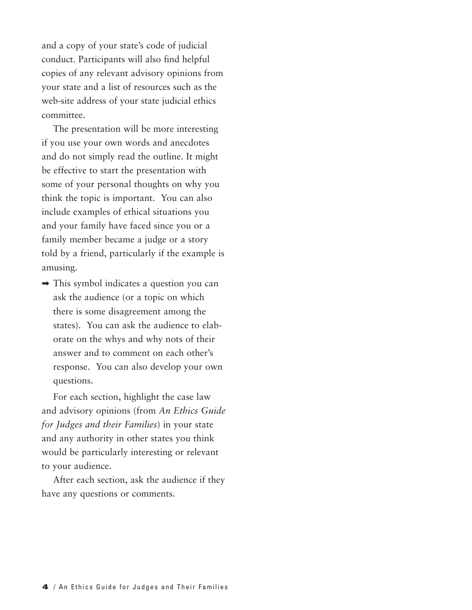and a copy of your state's code of judicial conduct. Participants will also find helpful copies of any relevant advisory opinions from your state and a list of resources such as the web-site address of your state judicial ethics committee.

The presentation will be more interesting if you use your own words and anecdotes and do not simply read the outline. It might be effective to start the presentation with some of your personal thoughts on why you think the topic is important. You can also include examples of ethical situations you and your family have faced since you or a family member became a judge or a story told by a friend, particularly if the example is amusing.

➡ This symbol indicates a question you can ask the audience (or a topic on which there is some disagreement among the states). You can ask the audience to elaborate on the whys and why nots of their answer and to comment on each other's response. You can also develop your own questions.

For each section, highlight the case law and advisory opinions (from *An Ethics Guide for Judges and their Families*) in your state and any authority in other states you think would be particularly interesting or relevant to your audience.

After each section, ask the audience if they have any questions or comments.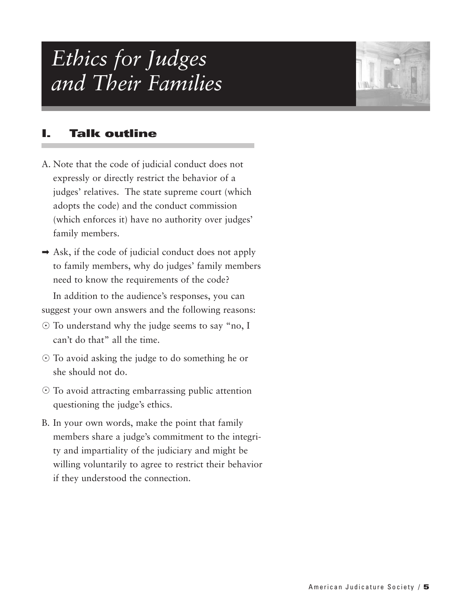### *Ethics for Judges and Their Families*



#### **I. Talk outline**

- A. Note that the code of judicial conduct does not expressly or directly restrict the behavior of a judges' relatives. The state supreme court (which adopts the code) and the conduct commission (which enforces it) have no authority over judges' family members.
- $\rightarrow$  Ask, if the code of judicial conduct does not apply to family members, why do judges' family members need to know the requirements of the code?

In addition to the audience's responses, you can suggest your own answers and the following reasons:

- To understand why the judge seems to say "no, I can't do that" all the time.
- To avoid asking the judge to do something he or she should not do.
- $\odot$  To avoid attracting embarrassing public attention questioning the judge's ethics.
- B. In your own words, make the point that family members share a judge's commitment to the integrity and impartiality of the judiciary and might be willing voluntarily to agree to restrict their behavior if they understood the connection.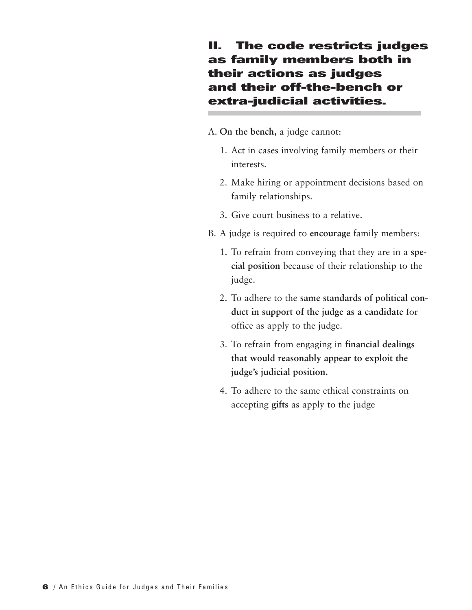#### **II. The code restricts judges as family members both in their actions as judges and their off-the-bench or extra-judicial activities.**

#### A. **On the bench,** a judge cannot:

- 1. Act in cases involving family members or their interests.
- 2. Make hiring or appointment decisions based on family relationships.
- 3. Give court business to a relative.
- B. A judge is required to **encourage** family members:
	- 1. To refrain from conveying that they are in a **special position** because of their relationship to the judge.
	- 2. To adhere to the **same standards of political conduct in support of the judge as a candidate** for office as apply to the judge.
	- 3. To refrain from engaging in **financial dealings that would reasonably appear to exploit the judge's judicial position.**
	- 4. To adhere to the same ethical constraints on accepting **gifts** as apply to the judge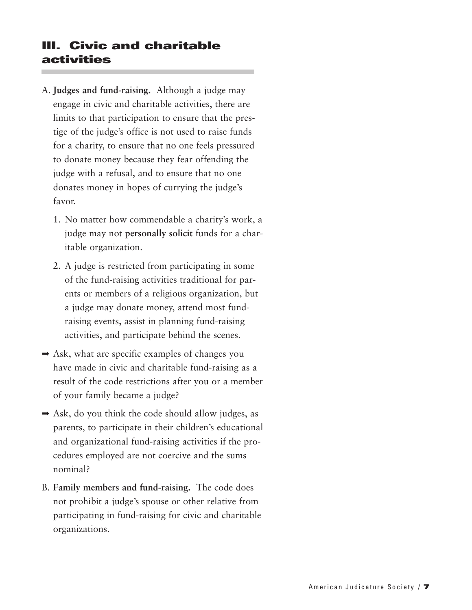#### **III. Civic and charitable activities**

- A. **Judges and fund-raising.** Although a judge may engage in civic and charitable activities, there are limits to that participation to ensure that the prestige of the judge's office is not used to raise funds for a charity, to ensure that no one feels pressured to donate money because they fear offending the judge with a refusal, and to ensure that no one donates money in hopes of currying the judge's favor.
	- 1. No matter how commendable a charity's work, a judge may not **personally solicit** funds for a charitable organization.
	- 2. A judge is restricted from participating in some of the fund-raising activities traditional for parents or members of a religious organization, but a judge may donate money, attend most fundraising events, assist in planning fund-raising activities, and participate behind the scenes.
- $\rightarrow$  Ask, what are specific examples of changes you have made in civic and charitable fund-raising as a result of the code restrictions after you or a member of your family became a judge?
- $\rightarrow$  Ask, do you think the code should allow judges, as parents, to participate in their children's educational and organizational fund-raising activities if the procedures employed are not coercive and the sums nominal?
- B. **Family members and fund-raising.** The code does not prohibit a judge's spouse or other relative from participating in fund-raising for civic and charitable organizations.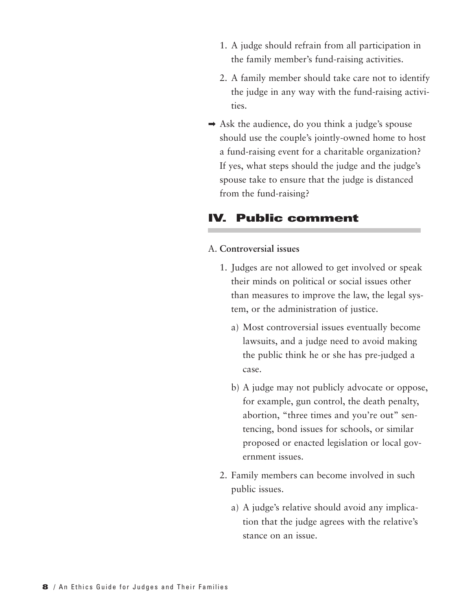- 1. A judge should refrain from all participation in the family member's fund-raising activities.
- 2. A family member should take care not to identify the judge in any way with the fund-raising activities.
- $\rightarrow$  Ask the audience, do you think a judge's spouse should use the couple's jointly-owned home to host a fund-raising event for a charitable organization? If yes, what steps should the judge and the judge's spouse take to ensure that the judge is distanced from the fund-raising?

#### **IV. Public comment**

#### A. **Controversial issues**

- 1. Judges are not allowed to get involved or speak their minds on political or social issues other than measures to improve the law, the legal system, or the administration of justice.
	- a) Most controversial issues eventually become lawsuits, and a judge need to avoid making the public think he or she has pre-judged a case.
	- b) A judge may not publicly advocate or oppose, for example, gun control, the death penalty, abortion, "three times and you're out" sentencing, bond issues for schools, or similar proposed or enacted legislation or local government issues.
- 2. Family members can become involved in such public issues.
	- a) A judge's relative should avoid any implication that the judge agrees with the relative's stance on an issue.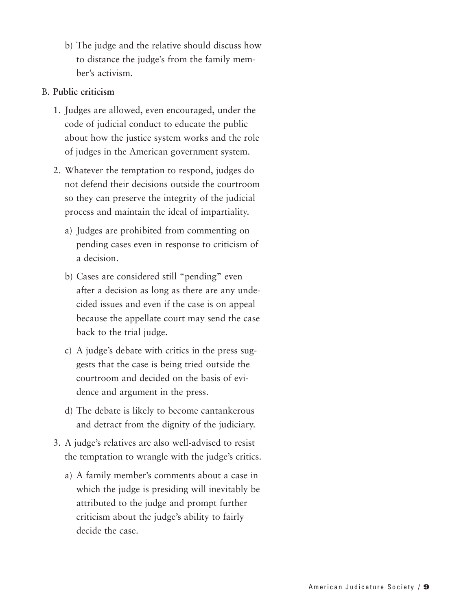b) The judge and the relative should discuss how to distance the judge's from the family member's activism.

#### B. **Public criticism**

- 1. Judges are allowed, even encouraged, under the code of judicial conduct to educate the public about how the justice system works and the role of judges in the American government system.
- 2. Whatever the temptation to respond, judges do not defend their decisions outside the courtroom so they can preserve the integrity of the judicial process and maintain the ideal of impartiality.
	- a) Judges are prohibited from commenting on pending cases even in response to criticism of a decision.
	- b) Cases are considered still "pending" even after a decision as long as there are any undecided issues and even if the case is on appeal because the appellate court may send the case back to the trial judge.
	- c) A judge's debate with critics in the press suggests that the case is being tried outside the courtroom and decided on the basis of evidence and argument in the press.
	- d) The debate is likely to become cantankerous and detract from the dignity of the judiciary.
- 3. A judge's relatives are also well-advised to resist the temptation to wrangle with the judge's critics.
	- a) A family member's comments about a case in which the judge is presiding will inevitably be attributed to the judge and prompt further criticism about the judge's ability to fairly decide the case.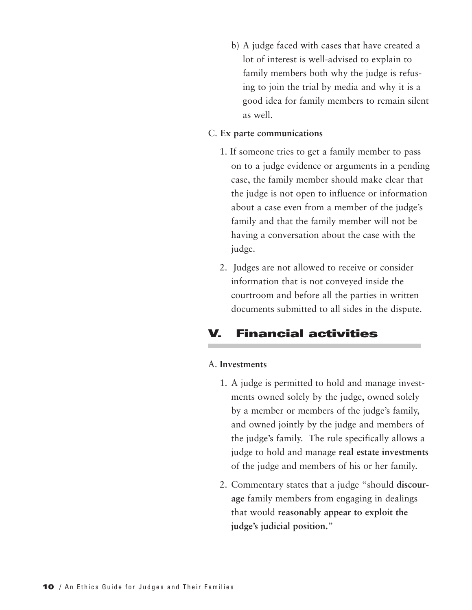b) A judge faced with cases that have created a lot of interest is well-advised to explain to family members both why the judge is refusing to join the trial by media and why it is a good idea for family members to remain silent as well.

#### C. **Ex parte communications**

- 1. If someone tries to get a family member to pass on to a judge evidence or arguments in a pending case, the family member should make clear that the judge is not open to influence or information about a case even from a member of the judge's family and that the family member will not be having a conversation about the case with the judge.
- 2. Judges are not allowed to receive or consider information that is not conveyed inside the courtroom and before all the parties in written documents submitted to all sides in the dispute.

### **V. Financial activities**

#### A. **Investments**

- 1. A judge is permitted to hold and manage investments owned solely by the judge, owned solely by a member or members of the judge's family, and owned jointly by the judge and members of the judge's family. The rule specifically allows a judge to hold and manage **real estate investments** of the judge and members of his or her family.
- 2. Commentary states that a judge "should **discourage** family members from engaging in dealings that would **reasonably appear to exploit the judge's judicial position.**"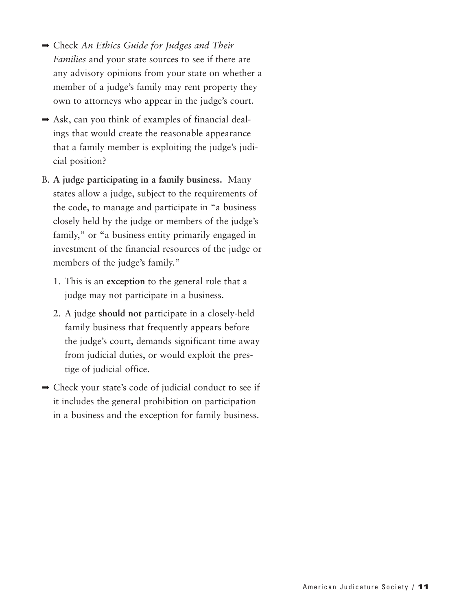- ➡ Check *An Ethics Guide for Judges and Their Families* and your state sources to see if there are any advisory opinions from your state on whether a member of a judge's family may rent property they own to attorneys who appear in the judge's court.
- $\rightarrow$  Ask, can you think of examples of financial dealings that would create the reasonable appearance that a family member is exploiting the judge's judicial position?
- B. **A judge participating in a family business.** Many states allow a judge, subject to the requirements of the code, to manage and participate in "a business closely held by the judge or members of the judge's family," or "a business entity primarily engaged in investment of the financial resources of the judge or members of the judge's family."
	- 1. This is an **exception** to the general rule that a judge may not participate in a business.
	- 2. A judge **should not** participate in a closely-held family business that frequently appears before the judge's court, demands significant time away from judicial duties, or would exploit the prestige of judicial office.
- ➡ Check your state's code of judicial conduct to see if it includes the general prohibition on participation in a business and the exception for family business.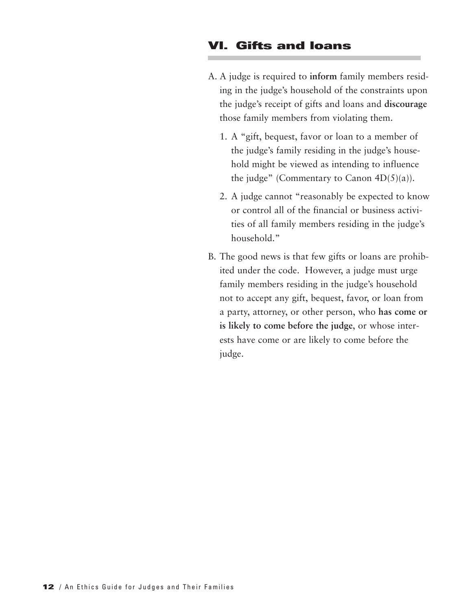#### **VI. Gifts and loans**

- A. A judge is required to **inform** family members residing in the judge's household of the constraints upon the judge's receipt of gifts and loans and **discourage** those family members from violating them.
	- 1. A "gift, bequest, favor or loan to a member of the judge's family residing in the judge's household might be viewed as intending to influence the judge" (Commentary to Canon  $4D(5)(a)$ ).
	- 2. A judge cannot "reasonably be expected to know or control all of the financial or business activities of all family members residing in the judge's household."
- B. The good news is that few gifts or loans are prohibited under the code. However, a judge must urge family members residing in the judge's household not to accept any gift, bequest, favor, or loan from a party, attorney, or other person, who **has come or is likely to come before the judge**, or whose interests have come or are likely to come before the judge.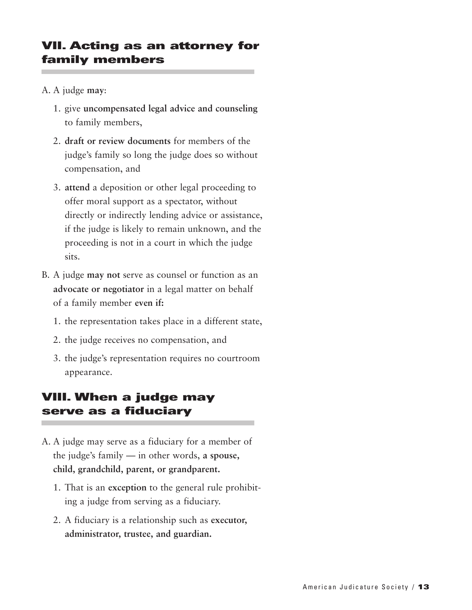#### **VII. Acting as an attorney for family members**

- A. A judge **may**:
	- 1. give **uncompensated legal advice and counseling** to family members,
	- 2. **draft or review documents** for members of the judge's family so long the judge does so without compensation, and
	- 3. **attend** a deposition or other legal proceeding to offer moral support as a spectator, without directly or indirectly lending advice or assistance, if the judge is likely to remain unknown, and the proceeding is not in a court in which the judge sits.
- B. A judge **may not** serve as counsel or function as an **advocate or negotiator** in a legal matter on behalf of a family member **even if:**
	- 1. the representation takes place in a different state,
	- 2. the judge receives no compensation, and
	- 3. the judge's representation requires no courtroom appearance.

#### **VIII. When a judge may serve as a fiduciary**

- A. A judge may serve as a fiduciary for a member of the judge's family — in other words, **a spouse, child, grandchild, parent, or grandparent.**
	- 1. That is an **exception** to the general rule prohibiting a judge from serving as a fiduciary.
	- 2. A fiduciary is a relationship such as **executor, administrator, trustee, and guardian.**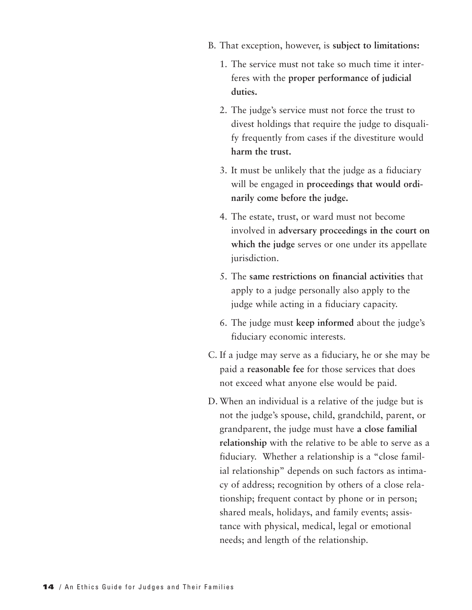- B. That exception, however, is **subject to limitations:**
	- 1. The service must not take so much time it interferes with the **proper performance of judicial duties.**
	- 2. The judge's service must not force the trust to divest holdings that require the judge to disqualify frequently from cases if the divestiture would **harm the trust.**
	- 3. It must be unlikely that the judge as a fiduciary will be engaged in **proceedings that would ordinarily come before the judge.**
	- 4. The estate, trust, or ward must not become involved in **adversary proceedings in the court on which the judge** serves or one under its appellate jurisdiction.
	- 5. The **same restrictions on financial activities** that apply to a judge personally also apply to the judge while acting in a fiduciary capacity.
	- 6. The judge must **keep informed** about the judge's fiduciary economic interests.
- C. If a judge may serve as a fiduciary, he or she may be paid a **reasonable fee** for those services that does not exceed what anyone else would be paid.
- D. When an individual is a relative of the judge but is not the judge's spouse, child, grandchild, parent, or grandparent, the judge must have **a close familial relationship** with the relative to be able to serve as a fiduciary. Whether a relationship is a "close familial relationship" depends on such factors as intimacy of address; recognition by others of a close relationship; frequent contact by phone or in person; shared meals, holidays, and family events; assistance with physical, medical, legal or emotional needs; and length of the relationship.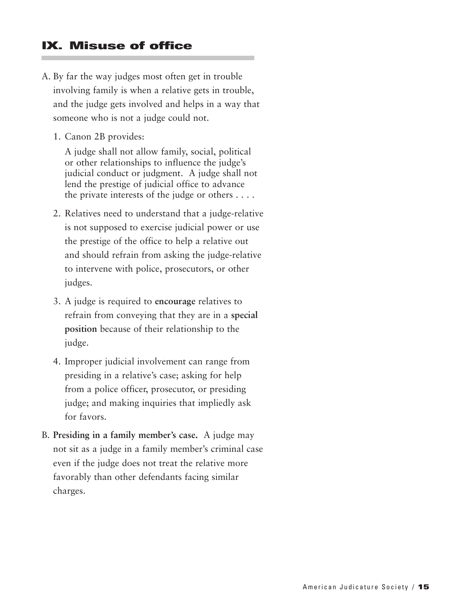#### **IX. Misuse of office**

- A. By far the way judges most often get in trouble involving family is when a relative gets in trouble, and the judge gets involved and helps in a way that someone who is not a judge could not.
	- 1. Canon 2B provides:

A judge shall not allow family, social, political or other relationships to influence the judge's judicial conduct or judgment. A judge shall not lend the prestige of judicial office to advance the private interests of the judge or others . . . .

- 2. Relatives need to understand that a judge-relative is not supposed to exercise judicial power or use the prestige of the office to help a relative out and should refrain from asking the judge-relative to intervene with police, prosecutors, or other judges.
- 3. A judge is required to **encourage** relatives to refrain from conveying that they are in a **special position** because of their relationship to the judge.
- 4. Improper judicial involvement can range from presiding in a relative's case; asking for help from a police officer, prosecutor, or presiding judge; and making inquiries that impliedly ask for favors.
- B. **Presiding in a family member's case.** A judge may not sit as a judge in a family member's criminal case even if the judge does not treat the relative more favorably than other defendants facing similar charges.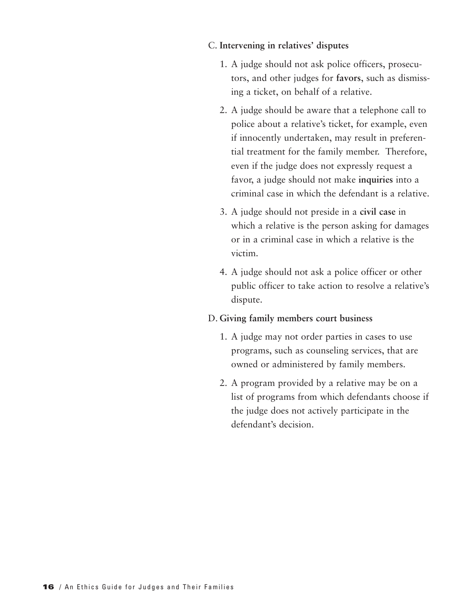#### C. **Intervening in relatives' disputes**

- 1. A judge should not ask police officers, prosecutors, and other judges for **favors**, such as dismissing a ticket, on behalf of a relative.
- 2. A judge should be aware that a telephone call to police about a relative's ticket, for example, even if innocently undertaken, may result in preferential treatment for the family member. Therefore, even if the judge does not expressly request a favor, a judge should not make **inquiries** into a criminal case in which the defendant is a relative.
- 3. A judge should not preside in a **civil case** in which a relative is the person asking for damages or in a criminal case in which a relative is the victim.
- 4. A judge should not ask a police officer or other public officer to take action to resolve a relative's dispute.

#### D. **Giving family members court business**

- 1. A judge may not order parties in cases to use programs, such as counseling services, that are owned or administered by family members.
- 2. A program provided by a relative may be on a list of programs from which defendants choose if the judge does not actively participate in the defendant's decision.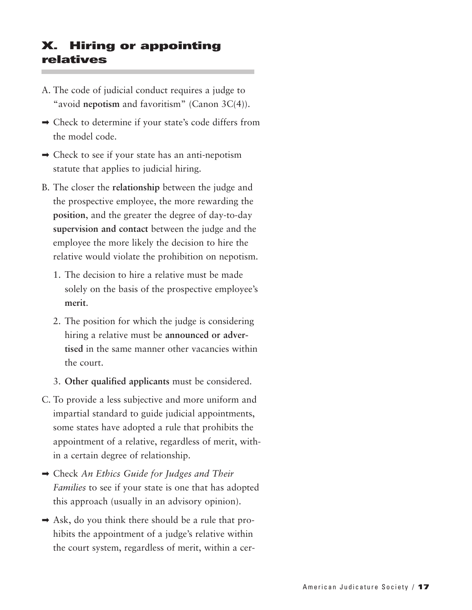#### **X. Hiring or appointing relatives**

- A. The code of judicial conduct requires a judge to "avoid **nepotism** and favoritism" (Canon 3C(4)).
- ➡ Check to determine if your state's code differs from the model code.
- $\rightarrow$  Check to see if your state has an anti-nepotism statute that applies to judicial hiring.
- B. The closer the **relationship** between the judge and the prospective employee, the more rewarding the **position**, and the greater the degree of day-to-day **supervision and contact** between the judge and the employee the more likely the decision to hire the relative would violate the prohibition on nepotism.
	- 1. The decision to hire a relative must be made solely on the basis of the prospective employee's **merit**.
	- 2. The position for which the judge is considering hiring a relative must be **announced or advertised** in the same manner other vacancies within the court.
	- 3. **Other qualified applicants** must be considered.
- C. To provide a less subjective and more uniform and impartial standard to guide judicial appointments, some states have adopted a rule that prohibits the appointment of a relative, regardless of merit, within a certain degree of relationship.
- ➡ Check *An Ethics Guide for Judges and Their Families* to see if your state is one that has adopted this approach (usually in an advisory opinion).
- $\rightarrow$  Ask, do you think there should be a rule that prohibits the appointment of a judge's relative within the court system, regardless of merit, within a cer-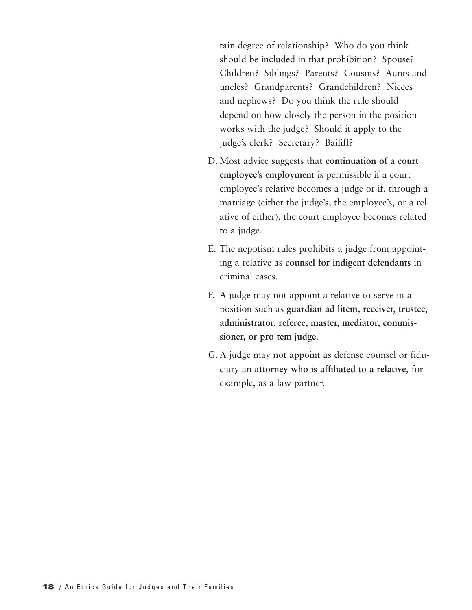tain degree of relationship? Who do you think should be included in that prohibition? Spouse? Children? Siblings? Parents? Cousins? Aunts and uncles? Grandparents? Grandchildren? Nieces and nephews? Do you think the rule should depend on how closely the person in the position works with the judge? Should it apply to the judge's clerk? Secretary? Bailiff?

- D. Most advice suggests that **continuation of a court employee's employment** is permissible if a court employee's relative becomes a judge or if, through a marriage (either the judge's, the employee's, or a relative of either), the court employee becomes related to a judge.
- E. The nepotism rules prohibits a judge from appointing a relative as **counsel for indigent defendants** in criminal cases.
- F. A judge may not appoint a relative to serve in a position such as **guardian ad litem, receiver, trustee, administrator, referee, master, mediator, commissioner, or pro tem judge**.
- G. A judge may not appoint as defense counsel or fiduciary an **attorney who is affiliated to a relative,** for example, as a law partner.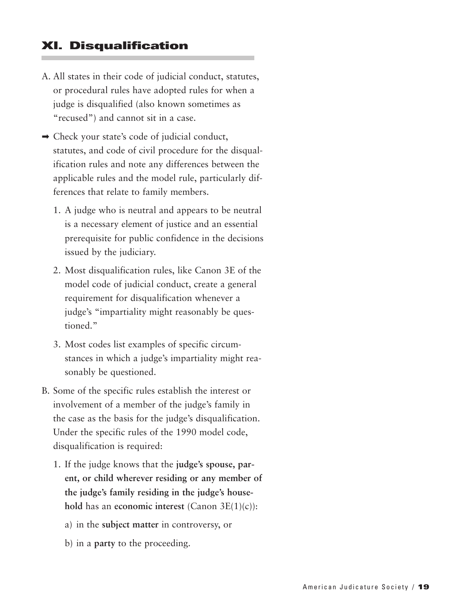#### **XI. Disqualification**

- A. All states in their code of judicial conduct, statutes, or procedural rules have adopted rules for when a judge is disqualified (also known sometimes as "recused") and cannot sit in a case.
- ➡ Check your state's code of judicial conduct, statutes, and code of civil procedure for the disqualification rules and note any differences between the applicable rules and the model rule, particularly differences that relate to family members.
	- 1. A judge who is neutral and appears to be neutral is a necessary element of justice and an essential prerequisite for public confidence in the decisions issued by the judiciary.
	- 2. Most disqualification rules, like Canon 3E of the model code of judicial conduct, create a general requirement for disqualification whenever a judge's "impartiality might reasonably be questioned."
	- 3. Most codes list examples of specific circumstances in which a judge's impartiality might reasonably be questioned.
- B. Some of the specific rules establish the interest or involvement of a member of the judge's family in the case as the basis for the judge's disqualification. Under the specific rules of the 1990 model code, disqualification is required:
	- 1. If the judge knows that the **judge's spouse, parent, or child wherever residing or any member of the judge's family residing in the judge's household** has an **economic interest** (Canon 3E(1)(c)):
		- a) in the **subject matter** in controversy, or
		- b) in a **party** to the proceeding.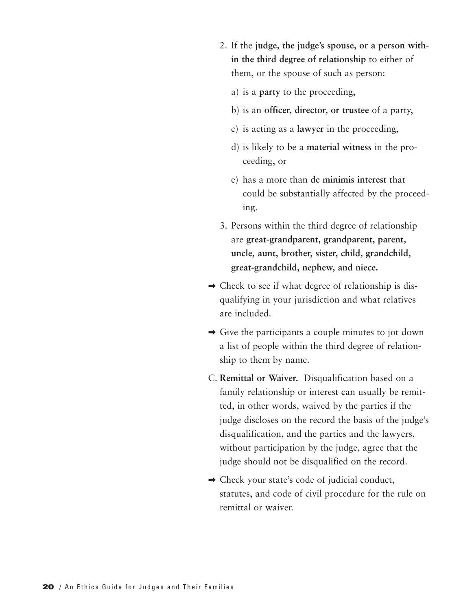- 2. If the **judge, the judge's spouse, or a person within the third degree of relationship** to either of them, or the spouse of such as person:
	- a) is a **party** to the proceeding,
	- b) is an **officer, director, or trustee** of a party,
	- c) is acting as a **lawyer** in the proceeding,
	- d) is likely to be a **material witness** in the proceeding, or
	- e) has a more than **de minimis interest** that could be substantially affected by the proceeding.
- 3. Persons within the third degree of relationship are **great-grandparent, grandparent, parent, uncle, aunt, brother, sister, child, grandchild, great-grandchild, nephew, and niece.**
- ➡ Check to see if what degree of relationship is disqualifying in your jurisdiction and what relatives are included.
- $\rightarrow$  Give the participants a couple minutes to jot down a list of people within the third degree of relationship to them by name.
- C. **Remittal or Waiver.** Disqualification based on a family relationship or interest can usually be remitted, in other words, waived by the parties if the judge discloses on the record the basis of the judge's disqualification, and the parties and the lawyers, without participation by the judge, agree that the judge should not be disqualified on the record.
- $\rightarrow$  Check your state's code of judicial conduct, statutes, and code of civil procedure for the rule on remittal or waiver.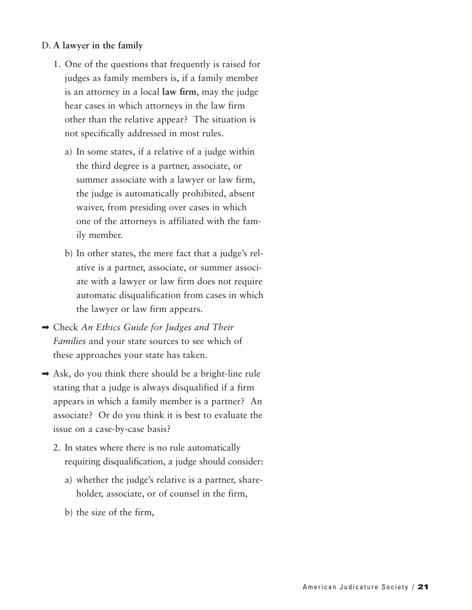#### D. **A lawyer in the family**

- 1. One of the questions that frequently is raised for judges as family members is, if a family member is an attorney in a local **law firm**, may the judge hear cases in which attorneys in the law firm other than the relative appear? The situation is not specifically addressed in most rules.
	- a) In some states, if a relative of a judge within the third degree is a partner, associate, or summer associate with a lawyer or law firm, the judge is automatically prohibited, absent waiver, from presiding over cases in which one of the attorneys is affiliated with the family member.
	- b) In other states, the mere fact that a judge's relative is a partner, associate, or summer associate with a lawyer or law firm does not require automatic disqualification from cases in which the lawyer or law firm appears.
- ➡ Check *An Ethics Guide for Judges and Their Families* and your state sources to see which of these approaches your state has taken.
- $\rightarrow$  Ask, do you think there should be a bright-line rule stating that a judge is always disqualified if a firm appears in which a family member is a partner? An associate? Or do you think it is best to evaluate the issue on a case-by-case basis?
	- 2. In states where there is no rule automatically requiring disqualification, a judge should consider:
		- a) whether the judge's relative is a partner, shareholder, associate, or of counsel in the firm,
		- b) the size of the firm,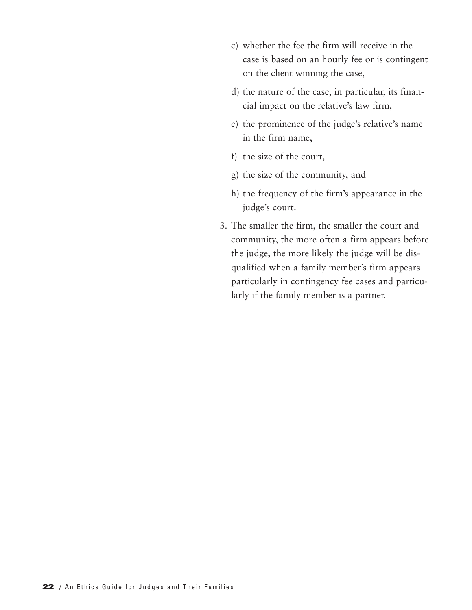- c) whether the fee the firm will receive in the case is based on an hourly fee or is contingent on the client winning the case,
- d) the nature of the case, in particular, its financial impact on the relative's law firm,
- e) the prominence of the judge's relative's name in the firm name,
- f) the size of the court,
- g) the size of the community, and
- h) the frequency of the firm's appearance in the judge's court.
- 3. The smaller the firm, the smaller the court and community, the more often a firm appears before the judge, the more likely the judge will be disqualified when a family member's firm appears particularly in contingency fee cases and particularly if the family member is a partner.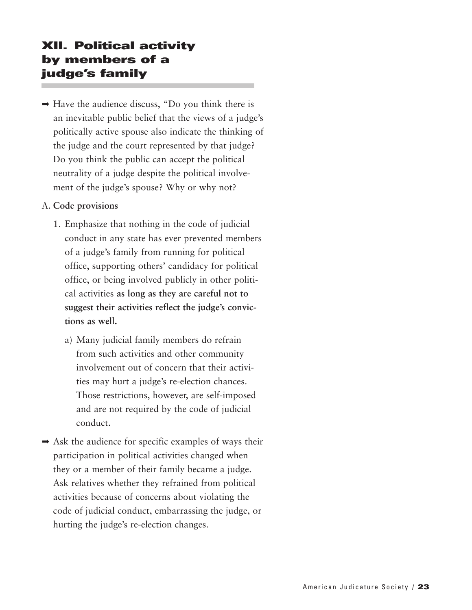#### **XII. Political activity by members of a judge's family**

 $\rightarrow$  Have the audience discuss, "Do you think there is an inevitable public belief that the views of a judge's politically active spouse also indicate the thinking of the judge and the court represented by that judge? Do you think the public can accept the political neutrality of a judge despite the political involvement of the judge's spouse? Why or why not?

#### A. **Code provisions**

- 1. Emphasize that nothing in the code of judicial conduct in any state has ever prevented members of a judge's family from running for political office, supporting others' candidacy for political office, or being involved publicly in other political activities **as long as they are careful not to suggest their activities reflect the judge's convictions as well.**
	- a) Many judicial family members do refrain from such activities and other community involvement out of concern that their activities may hurt a judge's re-election chances. Those restrictions, however, are self-imposed and are not required by the code of judicial conduct.
- $\rightarrow$  Ask the audience for specific examples of ways their participation in political activities changed when they or a member of their family became a judge. Ask relatives whether they refrained from political activities because of concerns about violating the code of judicial conduct, embarrassing the judge, or hurting the judge's re-election changes.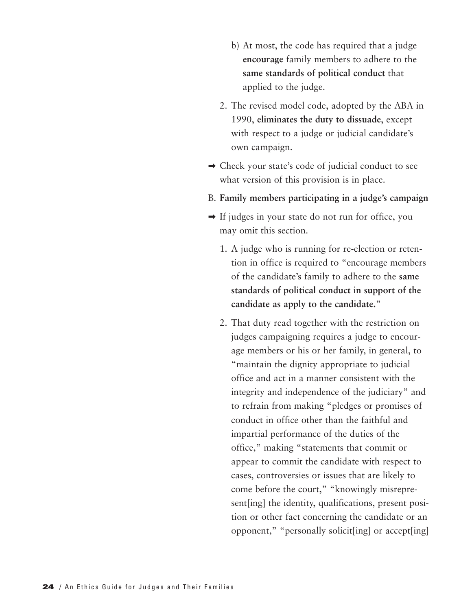- b) At most, the code has required that a judge **encourage** family members to adhere to the **same standards of political conduct** that applied to the judge.
- 2. The revised model code, adopted by the ABA in 1990, **eliminates the duty to dissuade**, except with respect to a judge or judicial candidate's own campaign.
- ➡ Check your state's code of judicial conduct to see what version of this provision is in place.
- B. **Family members participating in a judge's campaign**
- ➡ If judges in your state do not run for office, you may omit this section.
	- 1. A judge who is running for re-election or retention in office is required to "encourage members of the candidate's family to adhere to the **same standards of political conduct in support of the candidate as apply to the candidate.**"
	- 2. That duty read together with the restriction on judges campaigning requires a judge to encourage members or his or her family, in general, to "maintain the dignity appropriate to judicial office and act in a manner consistent with the integrity and independence of the judiciary" and to refrain from making "pledges or promises of conduct in office other than the faithful and impartial performance of the duties of the office," making "statements that commit or appear to commit the candidate with respect to cases, controversies or issues that are likely to come before the court," "knowingly misrepresent[ing] the identity, qualifications, present position or other fact concerning the candidate or an opponent," "personally solicit[ing] or accept[ing]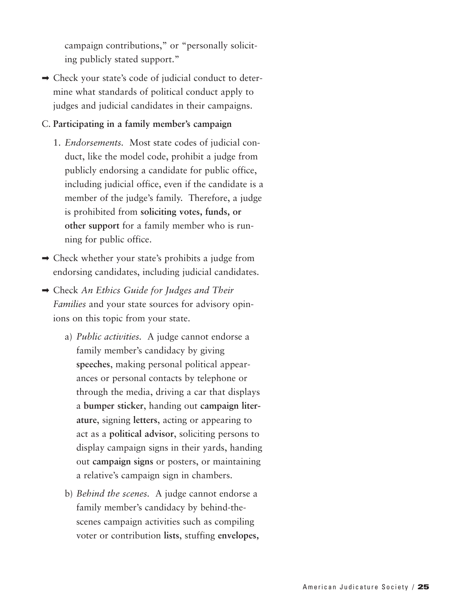campaign contributions," or "personally soliciting publicly stated support."

➡ Check your state's code of judicial conduct to determine what standards of political conduct apply to judges and judicial candidates in their campaigns.

#### C. **Participating in a family member's campaign**

- 1. *Endorsements.* Most state codes of judicial conduct, like the model code, prohibit a judge from publicly endorsing a candidate for public office, including judicial office, even if the candidate is a member of the judge's family. Therefore, a judge is prohibited from **soliciting votes, funds, or other support** for a family member who is running for public office.
- ➡ Check whether your state's prohibits a judge from endorsing candidates, including judicial candidates.
- ➡ Check *An Ethics Guide for Judges and Their Families* and your state sources for advisory opinions on this topic from your state.
	- a) *Public activities.* A judge cannot endorse a family member's candidacy by giving **speeches**, making personal political appearances or personal contacts by telephone or through the media, driving a car that displays a **bumper sticker**, handing out **campaign literature**, signing **letters**, acting or appearing to act as a **political advisor**, soliciting persons to display campaign signs in their yards, handing out **campaign signs** or posters, or maintaining a relative's campaign sign in chambers.
	- b) *Behind the scenes.* A judge cannot endorse a family member's candidacy by behind-thescenes campaign activities such as compiling voter or contribution **lists**, stuffing **envelopes,**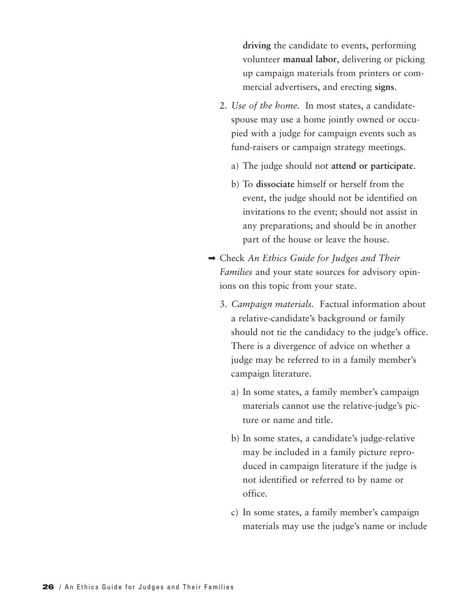**driving** the candidate to events, performing volunteer **manual labor**, delivering or picking up campaign materials from printers or commercial advertisers, and erecting **signs**.

- 2. *Use of the home.* In most states, a candidatespouse may use a home jointly owned or occupied with a judge for campaign events such as fund-raisers or campaign strategy meetings.
	- a) The judge should not **attend or participate**.
	- b) To **dissociate** himself or herself from the event, the judge should not be identified on invitations to the event; should not assist in any preparations; and should be in another part of the house or leave the house.
- ➡ Check *An Ethics Guide for Judges and Their Families* and your state sources for advisory opinions on this topic from your state.
	- 3. *Campaign materials.* Factual information about a relative-candidate's background or family should not tie the candidacy to the judge's office. There is a divergence of advice on whether a judge may be referred to in a family member's campaign literature.
		- a) In some states, a family member's campaign materials cannot use the relative-judge's picture or name and title.
		- b) In some states, a candidate's judge-relative may be included in a family picture reproduced in campaign literature if the judge is not identified or referred to by name or office.
		- c) In some states, a family member's campaign materials may use the judge's name or include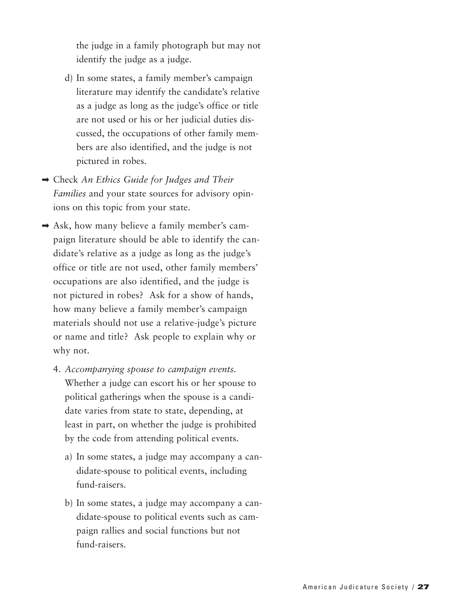the judge in a family photograph but may not identify the judge as a judge.

- d) In some states, a family member's campaign literature may identify the candidate's relative as a judge as long as the judge's office or title are not used or his or her judicial duties discussed, the occupations of other family members are also identified, and the judge is not pictured in robes.
- ➡ Check *An Ethics Guide for Judges and Their Families* and your state sources for advisory opinions on this topic from your state.
- ➡ Ask, how many believe a family member's campaign literature should be able to identify the candidate's relative as a judge as long as the judge's office or title are not used, other family members' occupations are also identified, and the judge is not pictured in robes? Ask for a show of hands, how many believe a family member's campaign materials should not use a relative-judge's picture or name and title? Ask people to explain why or why not.
	- 4. *Accompanying spouse to campaign events.* Whether a judge can escort his or her spouse to political gatherings when the spouse is a candidate varies from state to state, depending, at least in part, on whether the judge is prohibited by the code from attending political events.
		- a) In some states, a judge may accompany a candidate-spouse to political events, including fund-raisers.
		- b) In some states, a judge may accompany a candidate-spouse to political events such as campaign rallies and social functions but not fund-raisers.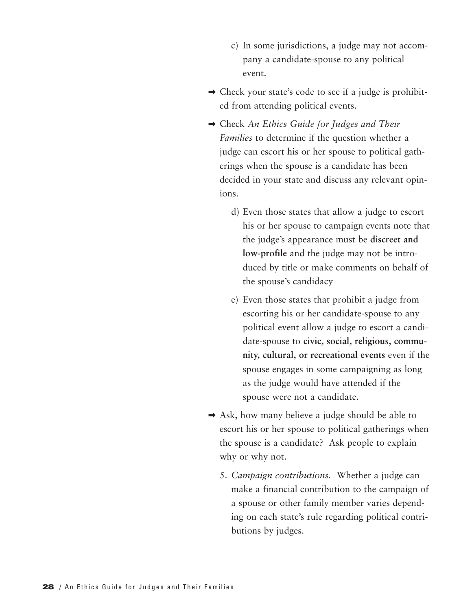- c) In some jurisdictions, a judge may not accompany a candidate-spouse to any political event.
- ➡ Check your state's code to see if a judge is prohibited from attending political events.
- ➡ Check *An Ethics Guide for Judges and Their Families* to determine if the question whether a judge can escort his or her spouse to political gatherings when the spouse is a candidate has been decided in your state and discuss any relevant opinions.
	- d) Even those states that allow a judge to escort his or her spouse to campaign events note that the judge's appearance must be **discreet and low-profile** and the judge may not be introduced by title or make comments on behalf of the spouse's candidacy
	- e) Even those states that prohibit a judge from escorting his or her candidate-spouse to any political event allow a judge to escort a candidate-spouse to **civic, social, religious, community, cultural, or recreational events** even if the spouse engages in some campaigning as long as the judge would have attended if the spouse were not a candidate.
- $\rightarrow$  Ask, how many believe a judge should be able to escort his or her spouse to political gatherings when the spouse is a candidate? Ask people to explain why or why not.
	- 5. *Campaign contributions.* Whether a judge can make a financial contribution to the campaign of a spouse or other family member varies depending on each state's rule regarding political contributions by judges.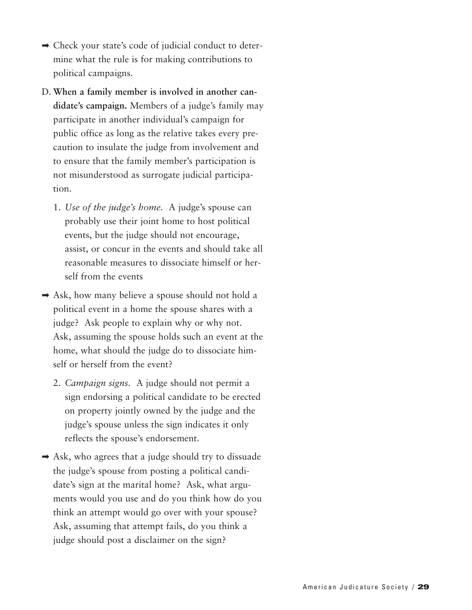- ➡ Check your state's code of judicial conduct to determine what the rule is for making contributions to political campaigns.
- D. **When a family member is involved in another candidate's campaign.** Members of a judge's family may participate in another individual's campaign for public office as long as the relative takes every precaution to insulate the judge from involvement and to ensure that the family member's participation is not misunderstood as surrogate judicial participation.
	- 1. *Use of the judge's home.* A judge's spouse can probably use their joint home to host political events, but the judge should not encourage, assist, or concur in the events and should take all reasonable measures to dissociate himself or herself from the events
- ➡ Ask, how many believe a spouse should not hold a political event in a home the spouse shares with a judge? Ask people to explain why or why not. Ask, assuming the spouse holds such an event at the home, what should the judge do to dissociate himself or herself from the event?
	- 2. *Campaign signs.* A judge should not permit a sign endorsing a political candidate to be erected on property jointly owned by the judge and the judge's spouse unless the sign indicates it only reflects the spouse's endorsement.
- ➡ Ask, who agrees that a judge should try to dissuade the judge's spouse from posting a political candidate's sign at the marital home? Ask, what arguments would you use and do you think how do you think an attempt would go over with your spouse? Ask, assuming that attempt fails, do you think a judge should post a disclaimer on the sign?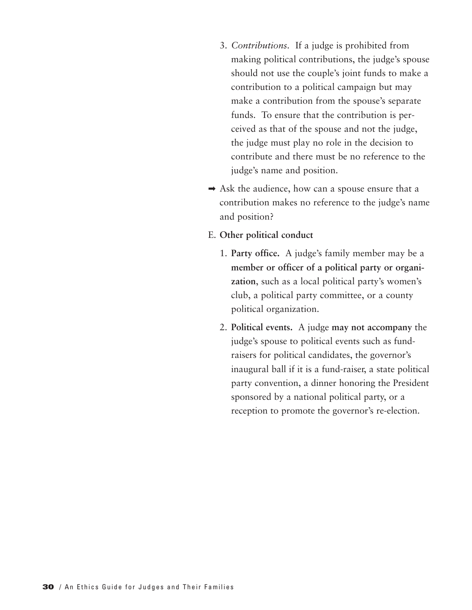- 3. *Contributions.* If a judge is prohibited from making political contributions, the judge's spouse should not use the couple's joint funds to make a contribution to a political campaign but may make a contribution from the spouse's separate funds. To ensure that the contribution is perceived as that of the spouse and not the judge, the judge must play no role in the decision to contribute and there must be no reference to the judge's name and position.
- $\rightarrow$  Ask the audience, how can a spouse ensure that a contribution makes no reference to the judge's name and position?
- E. **Other political conduct**
	- 1. **Party office.** A judge's family member may be a **member or officer of a political party or organization**, such as a local political party's women's club, a political party committee, or a county political organization.
	- 2. **Political events.** A judge **may not accompany** the judge's spouse to political events such as fundraisers for political candidates, the governor's inaugural ball if it is a fund-raiser, a state political party convention, a dinner honoring the President sponsored by a national political party, or a reception to promote the governor's re-election.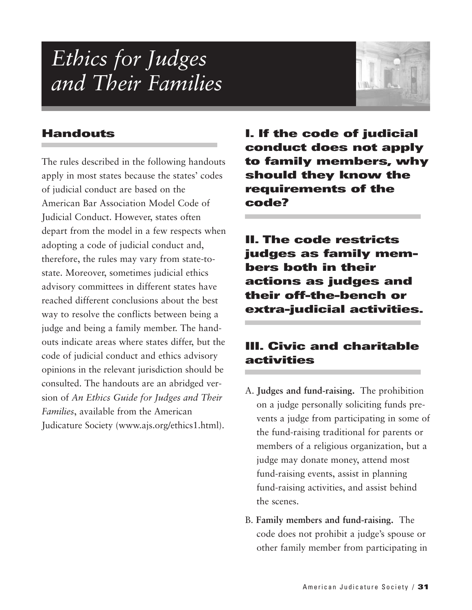### *Ethics for Judges and Their Families*



#### **Handouts**

The rules described in the following handouts apply in most states because the states' codes of judicial conduct are based on the American Bar Association Model Code of Judicial Conduct. However, states often depart from the model in a few respects when adopting a code of judicial conduct and, therefore, the rules may vary from state-tostate. Moreover, sometimes judicial ethics advisory committees in different states have reached different conclusions about the best way to resolve the conflicts between being a judge and being a family member. The handouts indicate areas where states differ, but the code of judicial conduct and ethics advisory opinions in the relevant jurisdiction should be consulted. The handouts are an abridged version of *An Ethics Guide for Judges and Their Families*, available from the American Judicature Society (www.ajs.org/ethics1.html).

**I. If the code of judicial conduct does not apply to family members, why should they know the requirements of the code?**

**II. The code restricts judges as family members both in their actions as judges and their off-the-bench or extra-judicial activities.**

#### **III. Civic and charitable activities**

- A. **Judges and fund-raising.** The prohibition on a judge personally soliciting funds prevents a judge from participating in some of the fund-raising traditional for parents or members of a religious organization, but a judge may donate money, attend most fund-raising events, assist in planning fund-raising activities, and assist behind the scenes.
- B. **Family members and fund-raising.** The code does not prohibit a judge's spouse or other family member from participating in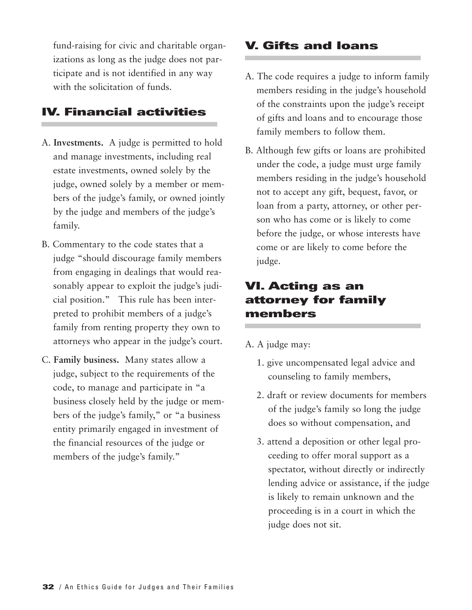fund-raising for civic and charitable organizations as long as the judge does not participate and is not identified in any way with the solicitation of funds.

#### **IV. Financial activities**

- A. **Investments.** A judge is permitted to hold and manage investments, including real estate investments, owned solely by the judge, owned solely by a member or members of the judge's family, or owned jointly by the judge and members of the judge's family.
- B. Commentary to the code states that a judge "should discourage family members from engaging in dealings that would reasonably appear to exploit the judge's judicial position." This rule has been interpreted to prohibit members of a judge's family from renting property they own to attorneys who appear in the judge's court.
- C. **Family business.** Many states allow a judge, subject to the requirements of the code, to manage and participate in "a business closely held by the judge or members of the judge's family," or "a business entity primarily engaged in investment of the financial resources of the judge or members of the judge's family."

#### **V. Gifts and loans**

- A. The code requires a judge to inform family members residing in the judge's household of the constraints upon the judge's receipt of gifts and loans and to encourage those family members to follow them.
- B. Although few gifts or loans are prohibited under the code, a judge must urge family members residing in the judge's household not to accept any gift, bequest, favor, or loan from a party, attorney, or other person who has come or is likely to come before the judge, or whose interests have come or are likely to come before the judge.

#### **VI. Acting as an attorney for family members**

- A. A judge may:
	- 1. give uncompensated legal advice and counseling to family members,
	- 2. draft or review documents for members of the judge's family so long the judge does so without compensation, and
	- 3. attend a deposition or other legal proceeding to offer moral support as a spectator, without directly or indirectly lending advice or assistance, if the judge is likely to remain unknown and the proceeding is in a court in which the judge does not sit.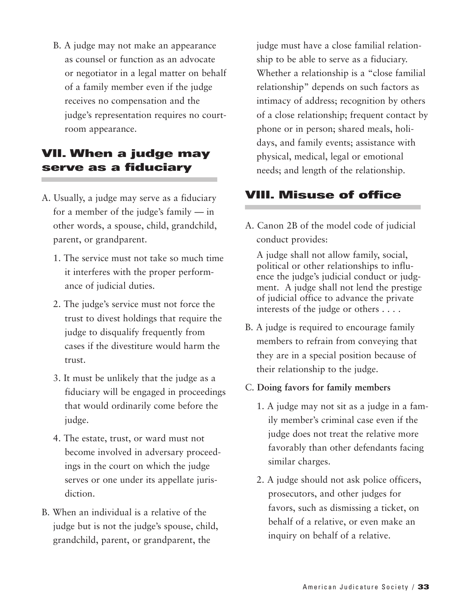B. A judge may not make an appearance as counsel or function as an advocate or negotiator in a legal matter on behalf of a family member even if the judge receives no compensation and the judge's representation requires no courtroom appearance.

#### **VII. When a judge may serve as a fiduciary**

- A. Usually, a judge may serve as a fiduciary for a member of the judge's family — in other words, a spouse, child, grandchild, parent, or grandparent.
	- 1. The service must not take so much time it interferes with the proper performance of judicial duties.
	- 2. The judge's service must not force the trust to divest holdings that require the judge to disqualify frequently from cases if the divestiture would harm the trust.
	- 3. It must be unlikely that the judge as a fiduciary will be engaged in proceedings that would ordinarily come before the judge.
	- 4. The estate, trust, or ward must not become involved in adversary proceedings in the court on which the judge serves or one under its appellate jurisdiction.
- B. When an individual is a relative of the judge but is not the judge's spouse, child, grandchild, parent, or grandparent, the

judge must have a close familial relationship to be able to serve as a fiduciary. Whether a relationship is a "close familial relationship" depends on such factors as intimacy of address; recognition by others of a close relationship; frequent contact by phone or in person; shared meals, holidays, and family events; assistance with physical, medical, legal or emotional needs; and length of the relationship.

#### **VIII. Misuse of office**

A. Canon 2B of the model code of judicial conduct provides:

A judge shall not allow family, social, political or other relationships to influence the judge's judicial conduct or judgment. A judge shall not lend the prestige of judicial office to advance the private interests of the judge or others . . . .

- B. A judge is required to encourage family members to refrain from conveying that they are in a special position because of their relationship to the judge.
- C. **Doing favors for family members**
	- 1. A judge may not sit as a judge in a family member's criminal case even if the judge does not treat the relative more favorably than other defendants facing similar charges.
	- 2. A judge should not ask police officers, prosecutors, and other judges for favors, such as dismissing a ticket, on behalf of a relative, or even make an inquiry on behalf of a relative.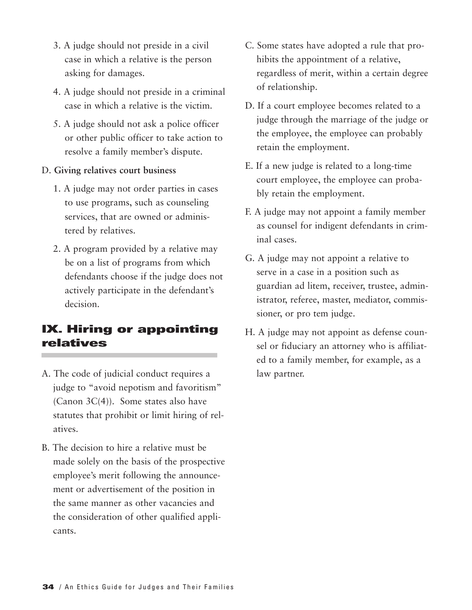- 3. A judge should not preside in a civil case in which a relative is the person asking for damages.
- 4. A judge should not preside in a criminal case in which a relative is the victim.
- 5. A judge should not ask a police officer or other public officer to take action to resolve a family member's dispute.

#### D. **Giving relatives court business**

- 1. A judge may not order parties in cases to use programs, such as counseling services, that are owned or administered by relatives.
- 2. A program provided by a relative may be on a list of programs from which defendants choose if the judge does not actively participate in the defendant's decision.

#### **IX. Hiring or appointing relatives**

- A. The code of judicial conduct requires a judge to "avoid nepotism and favoritism" (Canon  $3C(4)$ ). Some states also have statutes that prohibit or limit hiring of relatives.
- B. The decision to hire a relative must be made solely on the basis of the prospective employee's merit following the announcement or advertisement of the position in the same manner as other vacancies and the consideration of other qualified applicants.
- C. Some states have adopted a rule that prohibits the appointment of a relative, regardless of merit, within a certain degree of relationship.
- D. If a court employee becomes related to a judge through the marriage of the judge or the employee, the employee can probably retain the employment.
- E. If a new judge is related to a long-time court employee, the employee can probably retain the employment.
- F. A judge may not appoint a family member as counsel for indigent defendants in criminal cases.
- G. A judge may not appoint a relative to serve in a case in a position such as guardian ad litem, receiver, trustee, administrator, referee, master, mediator, commissioner, or pro tem judge.
- H. A judge may not appoint as defense counsel or fiduciary an attorney who is affiliated to a family member, for example, as a law partner.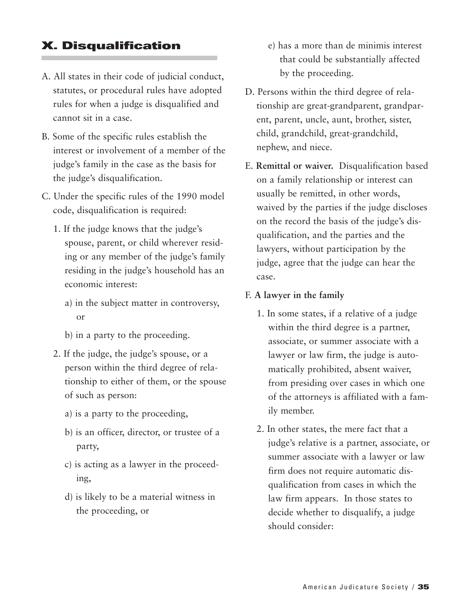#### **X. Disqualification**

- A. All states in their code of judicial conduct, statutes, or procedural rules have adopted rules for when a judge is disqualified and cannot sit in a case.
- B. Some of the specific rules establish the interest or involvement of a member of the judge's family in the case as the basis for the judge's disqualification.
- C. Under the specific rules of the 1990 model code, disqualification is required:
	- 1. If the judge knows that the judge's spouse, parent, or child wherever residing or any member of the judge's family residing in the judge's household has an economic interest:
		- a) in the subject matter in controversy, or
		- b) in a party to the proceeding.
	- 2. If the judge, the judge's spouse, or a person within the third degree of relationship to either of them, or the spouse of such as person:
		- a) is a party to the proceeding,
		- b) is an officer, director, or trustee of a party,
		- c) is acting as a lawyer in the proceeding,
		- d) is likely to be a material witness in the proceeding, or
- e) has a more than de minimis interest that could be substantially affected by the proceeding.
- D. Persons within the third degree of relationship are great-grandparent, grandparent, parent, uncle, aunt, brother, sister, child, grandchild, great-grandchild, nephew, and niece.
- E. **Remittal or waiver.** Disqualification based on a family relationship or interest can usually be remitted, in other words, waived by the parties if the judge discloses on the record the basis of the judge's disqualification, and the parties and the lawyers, without participation by the judge, agree that the judge can hear the case.
- F. **A lawyer in the family**
	- 1. In some states, if a relative of a judge within the third degree is a partner, associate, or summer associate with a lawyer or law firm, the judge is automatically prohibited, absent waiver, from presiding over cases in which one of the attorneys is affiliated with a family member.
	- 2. In other states, the mere fact that a judge's relative is a partner, associate, or summer associate with a lawyer or law firm does not require automatic disqualification from cases in which the law firm appears. In those states to decide whether to disqualify, a judge should consider: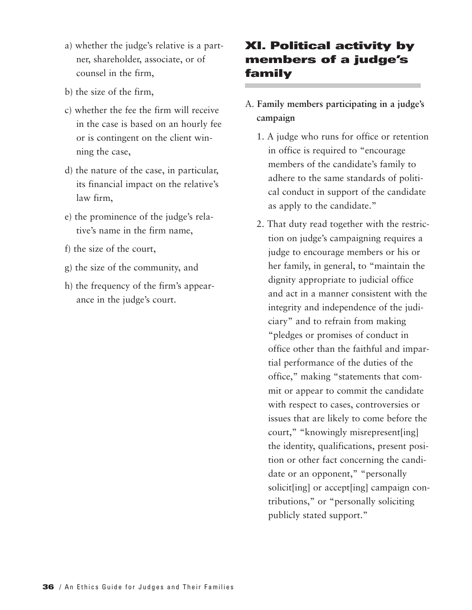- a) whether the judge's relative is a partner, shareholder, associate, or of counsel in the firm,
- b) the size of the firm,
- c) whether the fee the firm will receive in the case is based on an hourly fee or is contingent on the client winning the case,
- d) the nature of the case, in particular, its financial impact on the relative's law firm,
- e) the prominence of the judge's relative's name in the firm name,
- f) the size of the court,
- g) the size of the community, and
- h) the frequency of the firm's appearance in the judge's court.

#### **XI. Political activity by members of a judge's family**

#### A. **Family members participating in a judge's campaign**

- 1. A judge who runs for office or retention in office is required to "encourage members of the candidate's family to adhere to the same standards of political conduct in support of the candidate as apply to the candidate."
- 2. That duty read together with the restriction on judge's campaigning requires a judge to encourage members or his or her family, in general, to "maintain the dignity appropriate to judicial office and act in a manner consistent with the integrity and independence of the judiciary" and to refrain from making "pledges or promises of conduct in office other than the faithful and impartial performance of the duties of the office," making "statements that commit or appear to commit the candidate with respect to cases, controversies or issues that are likely to come before the court," "knowingly misrepresent[ing] the identity, qualifications, present position or other fact concerning the candidate or an opponent," "personally solicit[ing] or accept[ing] campaign contributions," or "personally soliciting publicly stated support."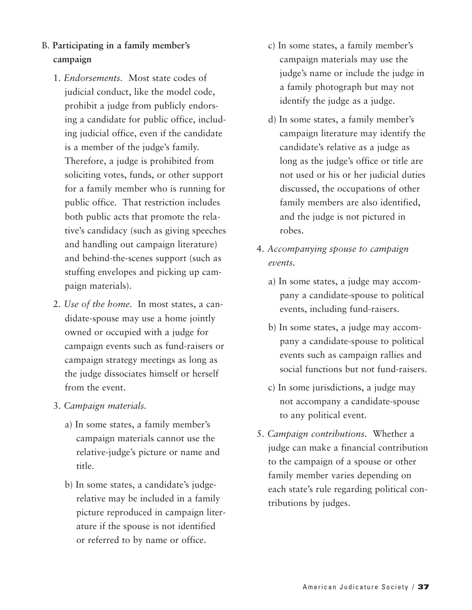- B. **Participating in a family member's campaign**
	- 1. *Endorsements.* Most state codes of judicial conduct, like the model code, prohibit a judge from publicly endorsing a candidate for public office, including judicial office, even if the candidate is a member of the judge's family. Therefore, a judge is prohibited from soliciting votes, funds, or other support for a family member who is running for public office. That restriction includes both public acts that promote the relative's candidacy (such as giving speeches and handling out campaign literature) and behind-the-scenes support (such as stuffing envelopes and picking up campaign materials).
	- 2. *Use of the home.* In most states, a candidate-spouse may use a home jointly owned or occupied with a judge for campaign events such as fund-raisers or campaign strategy meetings as long as the judge dissociates himself or herself from the event.
	- 3. *Campaign materials.*
		- a) In some states, a family member's campaign materials cannot use the relative-judge's picture or name and title.
		- b) In some states, a candidate's judgerelative may be included in a family picture reproduced in campaign literature if the spouse is not identified or referred to by name or office.
- c) In some states, a family member's campaign materials may use the judge's name or include the judge in a family photograph but may not identify the judge as a judge.
- d) In some states, a family member's campaign literature may identify the candidate's relative as a judge as long as the judge's office or title are not used or his or her judicial duties discussed, the occupations of other family members are also identified, and the judge is not pictured in robes.
- 4. *Accompanying spouse to campaign events.*
	- a) In some states, a judge may accompany a candidate-spouse to political events, including fund-raisers.
	- b) In some states, a judge may accompany a candidate-spouse to political events such as campaign rallies and social functions but not fund-raisers.
	- c) In some jurisdictions, a judge may not accompany a candidate-spouse to any political event.
- 5. *Campaign contributions.* Whether a judge can make a financial contribution to the campaign of a spouse or other family member varies depending on each state's rule regarding political contributions by judges.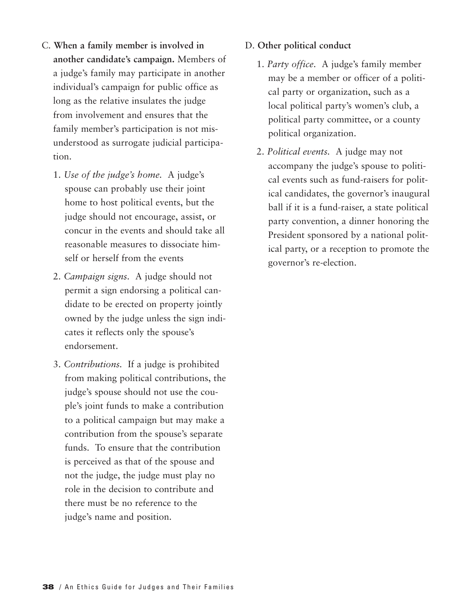- C. **When a family member is involved in another candidate's campaign.** Members of a judge's family may participate in another individual's campaign for public office as long as the relative insulates the judge from involvement and ensures that the family member's participation is not misunderstood as surrogate judicial participation.
	- 1. *Use of the judge's home.* A judge's spouse can probably use their joint home to host political events, but the judge should not encourage, assist, or concur in the events and should take all reasonable measures to dissociate himself or herself from the events
	- 2. *Campaign signs.* A judge should not permit a sign endorsing a political candidate to be erected on property jointly owned by the judge unless the sign indicates it reflects only the spouse's endorsement.
	- 3. *Contributions.* If a judge is prohibited from making political contributions, the judge's spouse should not use the couple's joint funds to make a contribution to a political campaign but may make a contribution from the spouse's separate funds. To ensure that the contribution is perceived as that of the spouse and not the judge, the judge must play no role in the decision to contribute and there must be no reference to the judge's name and position.

#### D. **Other political conduct**

- 1. *Party office.* A judge's family member may be a member or officer of a political party or organization, such as a local political party's women's club, a political party committee, or a county political organization.
- 2. *Political events.* A judge may not accompany the judge's spouse to political events such as fund-raisers for political candidates, the governor's inaugural ball if it is a fund-raiser, a state political party convention, a dinner honoring the President sponsored by a national political party, or a reception to promote the governor's re-election.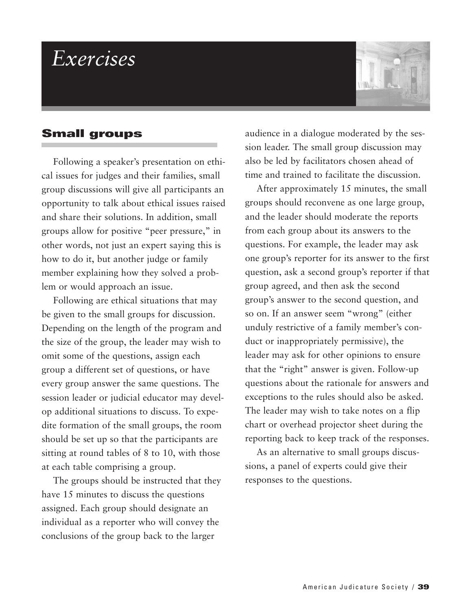### *Exercises*

#### **Small groups**

Following a speaker's presentation on ethical issues for judges and their families, small group discussions will give all participants an opportunity to talk about ethical issues raised and share their solutions. In addition, small groups allow for positive "peer pressure," in other words, not just an expert saying this is how to do it, but another judge or family member explaining how they solved a problem or would approach an issue.

Following are ethical situations that may be given to the small groups for discussion. Depending on the length of the program and the size of the group, the leader may wish to omit some of the questions, assign each group a different set of questions, or have every group answer the same questions. The session leader or judicial educator may develop additional situations to discuss. To expedite formation of the small groups, the room should be set up so that the participants are sitting at round tables of 8 to 10, with those at each table comprising a group.

The groups should be instructed that they have 15 minutes to discuss the questions assigned. Each group should designate an individual as a reporter who will convey the conclusions of the group back to the larger

audience in a dialogue moderated by the session leader. The small group discussion may also be led by facilitators chosen ahead of time and trained to facilitate the discussion.

After approximately 15 minutes, the small groups should reconvene as one large group, and the leader should moderate the reports from each group about its answers to the questions. For example, the leader may ask one group's reporter for its answer to the first question, ask a second group's reporter if that group agreed, and then ask the second group's answer to the second question, and so on. If an answer seem "wrong" (either unduly restrictive of a family member's conduct or inappropriately permissive), the leader may ask for other opinions to ensure that the "right" answer is given. Follow-up questions about the rationale for answers and exceptions to the rules should also be asked. The leader may wish to take notes on a flip chart or overhead projector sheet during the reporting back to keep track of the responses.

As an alternative to small groups discussions, a panel of experts could give their responses to the questions.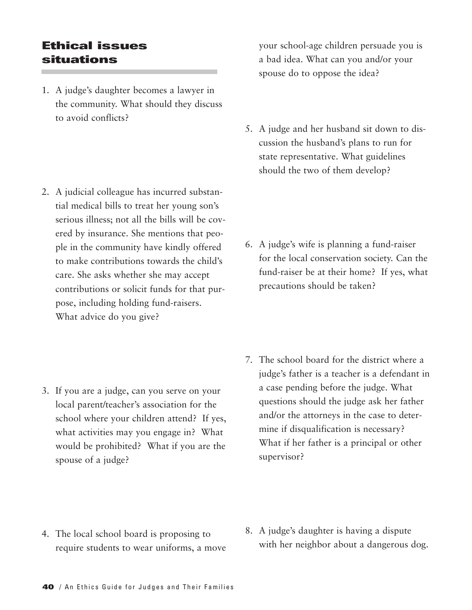#### **Ethical issues situations**

1. A judge's daughter becomes a lawyer in the community. What should they discuss to avoid conflicts?

2. A judicial colleague has incurred substantial medical bills to treat her young son's serious illness; not all the bills will be covered by insurance. She mentions that people in the community have kindly offered to make contributions towards the child's care. She asks whether she may accept contributions or solicit funds for that purpose, including holding fund-raisers. What advice do you give?

3. If you are a judge, can you serve on your local parent/teacher's association for the school where your children attend? If yes, what activities may you engage in? What would be prohibited? What if you are the spouse of a judge?

your school-age children persuade you is a bad idea. What can you and/or your spouse do to oppose the idea?

5. A judge and her husband sit down to discussion the husband's plans to run for state representative. What guidelines should the two of them develop?

6. A judge's wife is planning a fund-raiser for the local conservation society. Can the fund-raiser be at their home? If yes, what precautions should be taken?

7. The school board for the district where a judge's father is a teacher is a defendant in a case pending before the judge. What questions should the judge ask her father and/or the attorneys in the case to determine if disqualification is necessary? What if her father is a principal or other supervisor?

- 4. The local school board is proposing to require students to wear uniforms, a move
- 8. A judge's daughter is having a dispute with her neighbor about a dangerous dog.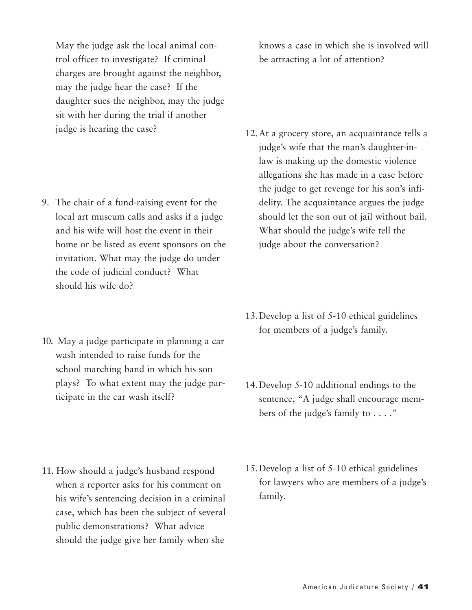May the judge ask the local animal control officer to investigate? If criminal charges are brought against the neighbor, may the judge hear the case? If the daughter sues the neighbor, may the judge sit with her during the trial if another judge is hearing the case?

- 9. The chair of a fund-raising event for the local art museum calls and asks if a judge and his wife will host the event in their home or be listed as event sponsors on the invitation. What may the judge do under the code of judicial conduct? What should his wife do?
- 10. May a judge participate in planning a car wash intended to raise funds for the school marching band in which his son plays? To what extent may the judge participate in the car wash itself?

11. How should a judge's husband respond when a reporter asks for his comment on his wife's sentencing decision in a criminal case, which has been the subject of several public demonstrations? What advice should the judge give her family when she

knows a case in which she is involved will be attracting a lot of attention?

- 12.At a grocery store, an acquaintance tells a judge's wife that the man's daughter-inlaw is making up the domestic violence allegations she has made in a case before the judge to get revenge for his son's infidelity. The acquaintance argues the judge should let the son out of jail without bail. What should the judge's wife tell the judge about the conversation?
- 13.Develop a list of 5-10 ethical guidelines for members of a judge's family.
- 14.Develop 5-10 additional endings to the sentence, "A judge shall encourage members of the judge's family to . . . ."
- 15.Develop a list of 5-10 ethical guidelines for lawyers who are members of a judge's family.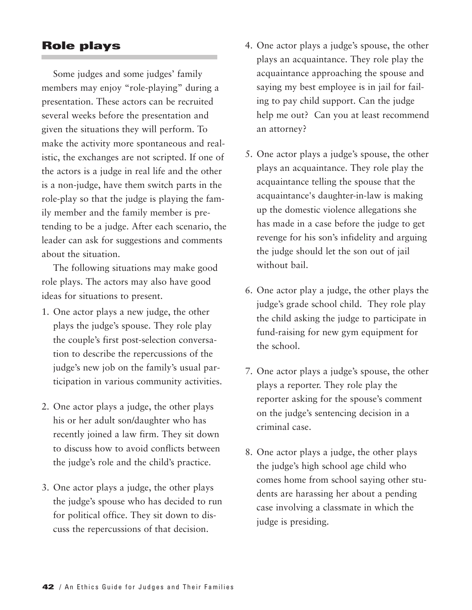#### **Role plays**

Some judges and some judges' family members may enjoy "role-playing" during a presentation. These actors can be recruited several weeks before the presentation and given the situations they will perform. To make the activity more spontaneous and realistic, the exchanges are not scripted. If one of the actors is a judge in real life and the other is a non-judge, have them switch parts in the role-play so that the judge is playing the family member and the family member is pretending to be a judge. After each scenario, the leader can ask for suggestions and comments about the situation.

The following situations may make good role plays. The actors may also have good ideas for situations to present.

- 1. One actor plays a new judge, the other plays the judge's spouse. They role play the couple's first post-selection conversation to describe the repercussions of the judge's new job on the family's usual participation in various community activities.
- 2. One actor plays a judge, the other plays his or her adult son/daughter who has recently joined a law firm. They sit down to discuss how to avoid conflicts between the judge's role and the child's practice.
- 3. One actor plays a judge, the other plays the judge's spouse who has decided to run for political office. They sit down to discuss the repercussions of that decision.
- 4. One actor plays a judge's spouse, the other plays an acquaintance. They role play the acquaintance approaching the spouse and saying my best employee is in jail for failing to pay child support. Can the judge help me out? Can you at least recommend an attorney?
- 5. One actor plays a judge's spouse, the other plays an acquaintance. They role play the acquaintance telling the spouse that the acquaintance's daughter-in-law is making up the domestic violence allegations she has made in a case before the judge to get revenge for his son's infidelity and arguing the judge should let the son out of jail without bail.
- 6. One actor play a judge, the other plays the judge's grade school child. They role play the child asking the judge to participate in fund-raising for new gym equipment for the school.
- 7. One actor plays a judge's spouse, the other plays a reporter. They role play the reporter asking for the spouse's comment on the judge's sentencing decision in a criminal case.
- 8. One actor plays a judge, the other plays the judge's high school age child who comes home from school saying other students are harassing her about a pending case involving a classmate in which the judge is presiding.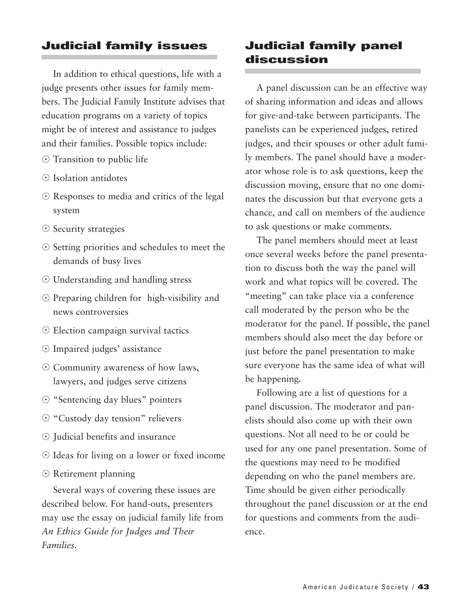#### **Judicial family issues**

In addition to ethical questions, life with a judge presents other issues for family members. The Judicial Family Institute advises that education programs on a variety of topics might be of interest and assistance to judges and their families. Possible topics include:

- $\odot$  Transition to public life
- $\odot$  Isolation antidotes
- Responses to media and critics of the legal system
- $\odot$  Security strategies
- Setting priorities and schedules to meet the demands of busy lives
- Understanding and handling stress
- Preparing children for high-visibility and news controversies
- Election campaign survival tactics
- Impaired judges' assistance
- Community awareness of how laws, lawyers, and judges serve citizens
- "Sentencing day blues" pointers
- $\odot$  "Custody day tension" relievers
- Judicial benefits and insurance
- Ideas for living on a lower or fixed income
- Retirement planning

Several ways of covering these issues are described below. For hand-outs, presenters may use the essay on judicial family life from *An Ethics Guide for Judges and Their Families.*

#### **Judicial family panel discussion**

A panel discussion can be an effective way of sharing information and ideas and allows for give-and-take between participants. The panelists can be experienced judges, retired judges, and their spouses or other adult family members. The panel should have a moderator whose role is to ask questions, keep the discussion moving, ensure that no one dominates the discussion but that everyone gets a chance, and call on members of the audience to ask questions or make comments.

The panel members should meet at least once several weeks before the panel presentation to discuss both the way the panel will work and what topics will be covered. The "meeting" can take place via a conference call moderated by the person who be the moderator for the panel. If possible, the panel members should also meet the day before or just before the panel presentation to make sure everyone has the same idea of what will be happening.

Following are a list of questions for a panel discussion. The moderator and panelists should also come up with their own questions. Not all need to be or could be used for any one panel presentation. Some of the questions may need to be modified depending on who the panel members are. Time should be given either periodically throughout the panel discussion or at the end for questions and comments from the audience.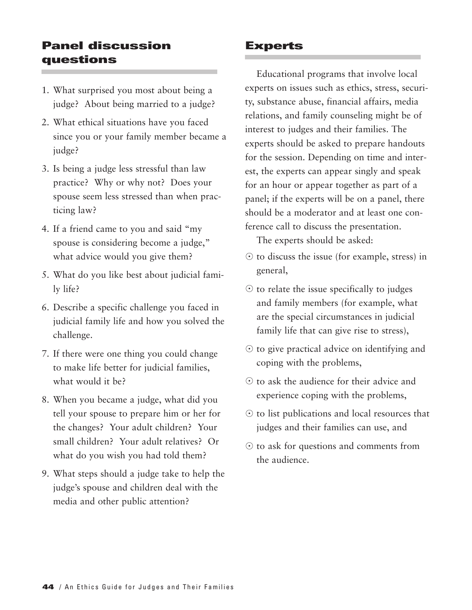#### **Panel discussion questions**

- 1. What surprised you most about being a judge? About being married to a judge?
- 2. What ethical situations have you faced since you or your family member became a judge?
- 3. Is being a judge less stressful than law practice? Why or why not? Does your spouse seem less stressed than when practicing law?
- 4. If a friend came to you and said "my spouse is considering become a judge," what advice would you give them?
- 5. What do you like best about judicial family life?
- 6. Describe a specific challenge you faced in judicial family life and how you solved the challenge.
- 7. If there were one thing you could change to make life better for judicial families, what would it be?
- 8. When you became a judge, what did you tell your spouse to prepare him or her for the changes? Your adult children? Your small children? Your adult relatives? Or what do you wish you had told them?
- 9. What steps should a judge take to help the judge's spouse and children deal with the media and other public attention?

#### **Experts**

Educational programs that involve local experts on issues such as ethics, stress, security, substance abuse, financial affairs, media relations, and family counseling might be of interest to judges and their families. The experts should be asked to prepare handouts for the session. Depending on time and interest, the experts can appear singly and speak for an hour or appear together as part of a panel; if the experts will be on a panel, there should be a moderator and at least one conference call to discuss the presentation.

The experts should be asked:

- $\odot$  to discuss the issue (for example, stress) in general,
- $\odot$  to relate the issue specifically to judges and family members (for example, what are the special circumstances in judicial family life that can give rise to stress),
- $\odot$  to give practical advice on identifying and coping with the problems,
- $\odot$  to ask the audience for their advice and experience coping with the problems,
- $\odot$  to list publications and local resources that judges and their families can use, and
- $\odot$  to ask for questions and comments from the audience.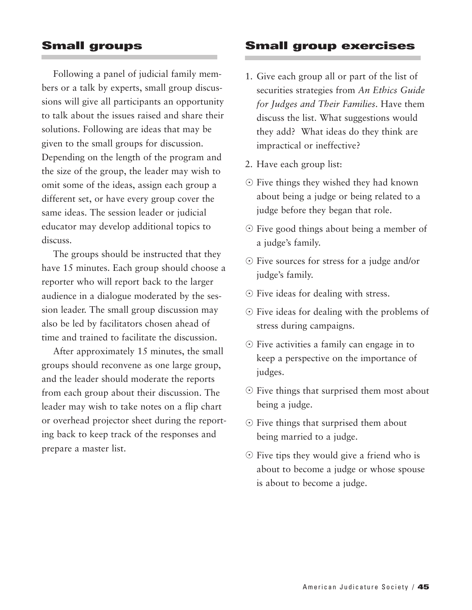#### **Small groups**

Following a panel of judicial family members or a talk by experts, small group discussions will give all participants an opportunity to talk about the issues raised and share their solutions. Following are ideas that may be given to the small groups for discussion. Depending on the length of the program and the size of the group, the leader may wish to omit some of the ideas, assign each group a different set, or have every group cover the same ideas. The session leader or judicial educator may develop additional topics to discuss.

The groups should be instructed that they have 15 minutes. Each group should choose a reporter who will report back to the larger audience in a dialogue moderated by the session leader. The small group discussion may also be led by facilitators chosen ahead of time and trained to facilitate the discussion.

After approximately 15 minutes, the small groups should reconvene as one large group, and the leader should moderate the reports from each group about their discussion. The leader may wish to take notes on a flip chart or overhead projector sheet during the reporting back to keep track of the responses and prepare a master list.

#### **Small group exercises**

- 1. Give each group all or part of the list of securities strategies from *An Ethics Guide for Judges and Their Families*. Have them discuss the list. What suggestions would they add? What ideas do they think are impractical or ineffective?
- 2. Have each group list:
- Five things they wished they had known about being a judge or being related to a judge before they began that role.
- Five good things about being a member of a judge's family.
- Five sources for stress for a judge and/or judge's family.
- Five ideas for dealing with stress.
- Five ideas for dealing with the problems of stress during campaigns.
- Five activities a family can engage in to keep a perspective on the importance of judges.
- Five things that surprised them most about being a judge.
- Five things that surprised them about being married to a judge.
- Five tips they would give a friend who is about to become a judge or whose spouse is about to become a judge.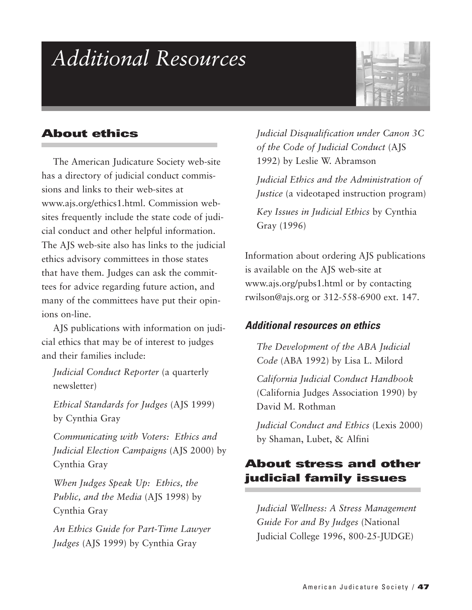## *Additional Resources*



#### **About ethics**

The American Judicature Society web-site has a directory of judicial conduct commissions and links to their web-sites at www.ajs.org/ethics1.html. Commission websites frequently include the state code of judicial conduct and other helpful information. The AJS web-site also has links to the judicial ethics advisory committees in those states that have them. Judges can ask the committees for advice regarding future action, and many of the committees have put their opinions on-line.

AJS publications with information on judicial ethics that may be of interest to judges and their families include:

*Judicial Conduct Reporter* (a quarterly newsletter)

*Ethical Standards for Judges* (AJS 1999) by Cynthia Gray

*Communicating with Voters: Ethics and Judicial Election Campaigns* (AJS 2000) by Cynthia Gray

*When Judges Speak Up: Ethics, the Public, and the Media* (AJS 1998) by Cynthia Gray

*An Ethics Guide for Part-Time Lawyer Judges* (AJS 1999) by Cynthia Gray

*Judicial Disqualification under Canon 3C of the Code of Judicial Conduct* (AJS 1992) by Leslie W. Abramson

*Judicial Ethics and the Administration of Justice* (a videotaped instruction program)

*Key Issues in Judicial Ethics* by Cynthia Gray (1996)

Information about ordering AJS publications is available on the AJS web-site at www.ajs.org/pubs1.html or by contacting rwilson@ajs.org or 312-558-6900 ext. 147.

#### *Additional resources on ethics*

*The Development of the ABA Judicial Code* (ABA 1992) by Lisa L. Milord

*California Judicial Conduct Handbook* (California Judges Association 1990) by David M. Rothman

*Judicial Conduct and Ethics* (Lexis 2000) by Shaman, Lubet, & Alfini

#### **About stress and other judicial family issues**

*Judicial Wellness: A Stress Management Guide For and By Judges* (National Judicial College 1996, 800-25-JUDGE)